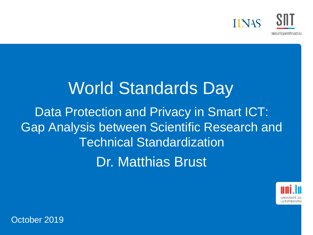

# Dr. Matthias Brust World Standards Day Data Protection and Privacy in Smart ICT: Gap Analysis between Scientific Research and Technical Standardization



October 2019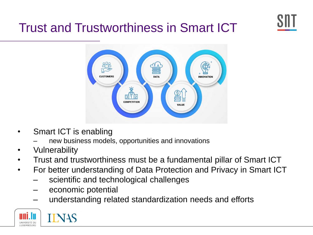

#### Trust and Trustworthiness in Smart ICT



- Smart ICT is enabling
	- new business models, opportunities and innovations
- Vulnerability
- Trust and trustworthiness must be a fundamental pillar of Smart ICT
- For better understanding of Data Protection and Privacy in Smart ICT
	- scientific and technological challenges
	- economic potential
	- understanding related standardization needs and efforts



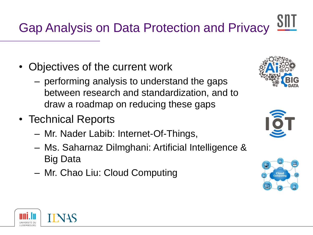# Gap Analysis on Data Protection and Privacy

- Objectives of the current work
	- performing analysis to understand the gaps between research and standardization, and to draw a roadmap on reducing these gaps
- Technical Reports
	- Mr. Nader Labib: Internet-Of-Things,
	- Ms. Saharnaz Dilmghani: Artificial Intelligence & Big Data
	- Mr. Chao Liu: Cloud Computing







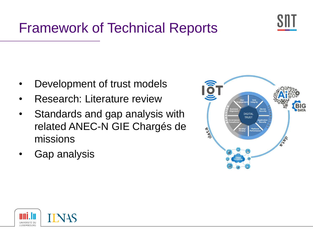

## Framework of Technical Reports

- Development of trust models
- Research: Literature review
- Standards and gap analysis with related ANEC-N GIE Chargés de missions
- Gap analysis



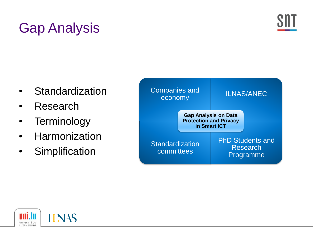## Gap Analysis



- **Standardization**
- **Research**
- Terminology
- **Harmonization**
- Simplification